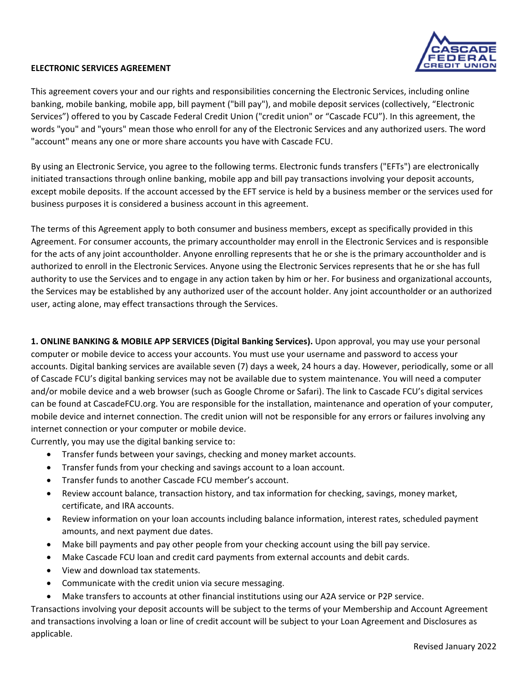

This agreement covers your and our rights and responsibilities concerning the Electronic Services, including online banking, mobile banking, mobile app, bill payment ("bill pay"), and mobile deposit services (collectively, "Electronic Services") offered to you by Cascade Federal Credit Union ("credit union" or "Cascade FCU"). In this agreement, the words "you" and "yours" mean those who enroll for any of the Electronic Services and any authorized users. The word "account" means any one or more share accounts you have with Cascade FCU.

By using an Electronic Service, you agree to the following terms. Electronic funds transfers ("EFTs") are electronically initiated transactions through online banking, mobile app and bill pay transactions involving your deposit accounts, except mobile deposits. If the account accessed by the EFT service is held by a business member or the services used for business purposes it is considered a business account in this agreement.

The terms of this Agreement apply to both consumer and business members, except as specifically provided in this Agreement. For consumer accounts, the primary accountholder may enroll in the Electronic Services and is responsible for the acts of any joint accountholder. Anyone enrolling represents that he or she is the primary accountholder and is authorized to enroll in the Electronic Services. Anyone using the Electronic Services represents that he or she has full authority to use the Services and to engage in any action taken by him or her. For business and organizational accounts, the Services may be established by any authorized user of the account holder. Any joint accountholder or an authorized user, acting alone, may effect transactions through the Services.

**1. ONLINE BANKING & MOBILE APP SERVICES (Digital Banking Services).** Upon approval, you may use your personal computer or mobile device to access your accounts. You must use your username and password to access your accounts. Digital banking services are available seven (7) days a week, 24 hours a day. However, periodically, some or all of Cascade FCU's digital banking services may not be available due to system maintenance. You will need a computer and/or mobile device and a web browser (such as Google Chrome or Safari). The link to Cascade FCU's digital services can be found at CascadeFCU.org. You are responsible for the installation, maintenance and operation of your computer, mobile device and internet connection. The credit union will not be responsible for any errors or failures involving any internet connection or your computer or mobile device.

Currently, you may use the digital banking service to:

- Transfer funds between your savings, checking and money market accounts.
- Transfer funds from your checking and savings account to a loan account.
- Transfer funds to another Cascade FCU member's account.
- Review account balance, transaction history, and tax information for checking, savings, money market, certificate, and IRA accounts.
- Review information on your loan accounts including balance information, interest rates, scheduled payment amounts, and next payment due dates.
- Make bill payments and pay other people from your checking account using the bill pay service.
- Make Cascade FCU loan and credit card payments from external accounts and debit cards.
- View and download tax statements.
- Communicate with the credit union via secure messaging.
- Make transfers to accounts at other financial institutions using our A2A service or P2P service.

Transactions involving your deposit accounts will be subject to the terms of your Membership and Account Agreement and transactions involving a loan or line of credit account will be subject to your Loan Agreement and Disclosures as applicable.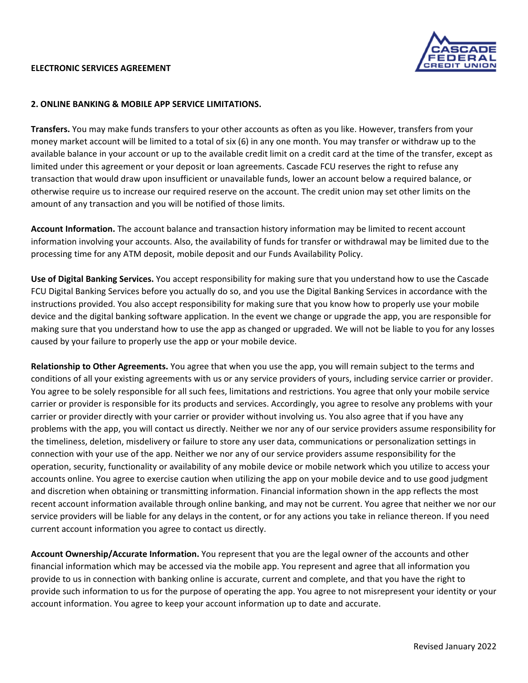

#### **2. ONLINE BANKING & MOBILE APP SERVICE LIMITATIONS.**

**Transfers.** You may make funds transfers to your other accounts as often as you like. However, transfers from your money market account will be limited to a total of six (6) in any one month. You may transfer or withdraw up to the available balance in your account or up to the available credit limit on a credit card at the time of the transfer, except as limited under this agreement or your deposit or loan agreements. Cascade FCU reserves the right to refuse any transaction that would draw upon insufficient or unavailable funds, lower an account below a required balance, or otherwise require us to increase our required reserve on the account. The credit union may set other limits on the amount of any transaction and you will be notified of those limits.

**Account Information.** The account balance and transaction history information may be limited to recent account information involving your accounts. Also, the availability of funds for transfer or withdrawal may be limited due to the processing time for any ATM deposit, mobile deposit and our Funds Availability Policy.

**Use of Digital Banking Services.** You accept responsibility for making sure that you understand how to use the Cascade FCU Digital Banking Services before you actually do so, and you use the Digital Banking Services in accordance with the instructions provided. You also accept responsibility for making sure that you know how to properly use your mobile device and the digital banking software application. In the event we change or upgrade the app, you are responsible for making sure that you understand how to use the app as changed or upgraded. We will not be liable to you for any losses caused by your failure to properly use the app or your mobile device.

**Relationship to Other Agreements.** You agree that when you use the app, you will remain subject to the terms and conditions of all your existing agreements with us or any service providers of yours, including service carrier or provider. You agree to be solely responsible for all such fees, limitations and restrictions. You agree that only your mobile service carrier or provider is responsible for its products and services. Accordingly, you agree to resolve any problems with your carrier or provider directly with your carrier or provider without involving us. You also agree that if you have any problems with the app, you will contact us directly. Neither we nor any of our service providers assume responsibility for the timeliness, deletion, misdelivery or failure to store any user data, communications or personalization settings in connection with your use of the app. Neither we nor any of our service providers assume responsibility for the operation, security, functionality or availability of any mobile device or mobile network which you utilize to access your accounts online. You agree to exercise caution when utilizing the app on your mobile device and to use good judgment and discretion when obtaining or transmitting information. Financial information shown in the app reflects the most recent account information available through online banking, and may not be current. You agree that neither we nor our service providers will be liable for any delays in the content, or for any actions you take in reliance thereon. If you need current account information you agree to contact us directly.

**Account Ownership/Accurate Information.** You represent that you are the legal owner of the accounts and other financial information which may be accessed via the mobile app. You represent and agree that all information you provide to us in connection with banking online is accurate, current and complete, and that you have the right to provide such information to us for the purpose of operating the app. You agree to not misrepresent your identity or your account information. You agree to keep your account information up to date and accurate.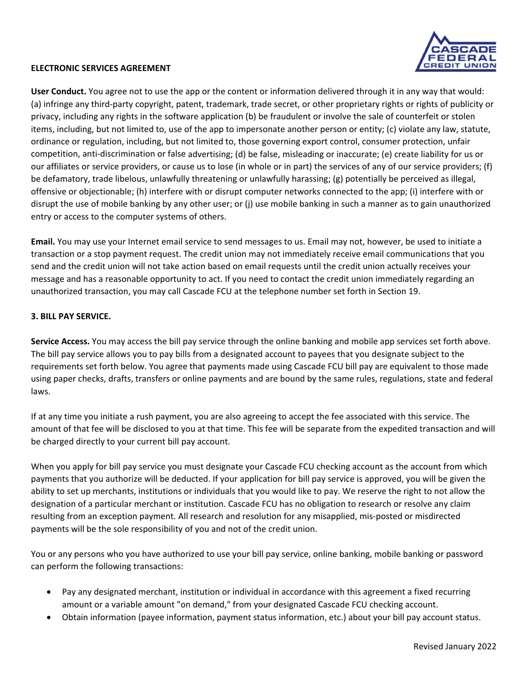

**User Conduct.** You agree not to use the app or the content or information delivered through it in any way that would: (a) infringe any third‐party copyright, patent, trademark, trade secret, or other proprietary rights or rights of publicity or privacy, including any rights in the software application (b) be fraudulent or involve the sale of counterfeit or stolen items, including, but not limited to, use of the app to impersonate another person or entity; (c) violate any law, statute, ordinance or regulation, including, but not limited to, those governing export control, consumer protection, unfair competition, anti‐discrimination or false advertising; (d) be false, misleading or inaccurate; (e) create liability for us or our affiliates or service providers, or cause us to lose (in whole or in part) the services of any of our service providers; (f) be defamatory, trade libelous, unlawfully threatening or unlawfully harassing; (g) potentially be perceived as illegal, offensive or objectionable; (h) interfere with or disrupt computer networks connected to the app; (i) interfere with or disrupt the use of mobile banking by any other user; or (j) use mobile banking in such a manner as to gain unauthorized entry or access to the computer systems of others.

**Email.** You may use your Internet email service to send messages to us. Email may not, however, be used to initiate a transaction or a stop payment request. The credit union may not immediately receive email communications that you send and the credit union will not take action based on email requests until the credit union actually receives your message and has a reasonable opportunity to act. If you need to contact the credit union immediately regarding an unauthorized transaction, you may call Cascade FCU at the telephone number set forth in Section 19.

### **3. BILL PAY SERVICE.**

**Service Access.** You may access the bill pay service through the online banking and mobile app services set forth above. The bill pay service allows you to pay bills from a designated account to payees that you designate subject to the requirements set forth below. You agree that payments made using Cascade FCU bill pay are equivalent to those made using paper checks, drafts, transfers or online payments and are bound by the same rules, regulations, state and federal laws.

If at any time you initiate a rush payment, you are also agreeing to accept the fee associated with this service. The amount of that fee will be disclosed to you at that time. This fee will be separate from the expedited transaction and will be charged directly to your current bill pay account.

When you apply for bill pay service you must designate your Cascade FCU checking account as the account from which payments that you authorize will be deducted. If your application for bill pay service is approved, you will be given the ability to set up merchants, institutions or individuals that you would like to pay. We reserve the right to not allow the designation of a particular merchant or institution. Cascade FCU has no obligation to research or resolve any claim resulting from an exception payment. All research and resolution for any misapplied, mis‐posted or misdirected payments will be the sole responsibility of you and not of the credit union.

You or any persons who you have authorized to use your bill pay service, online banking, mobile banking or password can perform the following transactions:

- Pay any designated merchant, institution or individual in accordance with this agreement a fixed recurring amount or a variable amount "on demand," from your designated Cascade FCU checking account.
- Obtain information (payee information, payment status information, etc.) about your bill pay account status.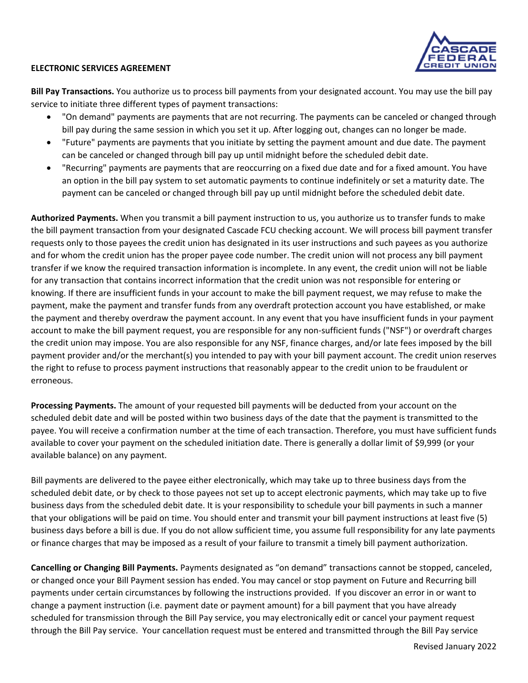

**Bill Pay Transactions.** You authorize us to process bill payments from your designated account. You may use the bill pay service to initiate three different types of payment transactions:

- "On demand" payments are payments that are not recurring. The payments can be canceled or changed through bill pay during the same session in which you set it up. After logging out, changes can no longer be made.
- "Future" payments are payments that you initiate by setting the payment amount and due date. The payment can be canceled or changed through bill pay up until midnight before the scheduled debit date.
- "Recurring" payments are payments that are reoccurring on a fixed due date and for a fixed amount. You have an option in the bill pay system to set automatic payments to continue indefinitely or set a maturity date. The payment can be canceled or changed through bill pay up until midnight before the scheduled debit date.

**Authorized Payments.** When you transmit a bill payment instruction to us, you authorize us to transfer funds to make the bill payment transaction from your designated Cascade FCU checking account. We will process bill payment transfer requests only to those payees the credit union has designated in its user instructions and such payees as you authorize and for whom the credit union has the proper payee code number. The credit union will not process any bill payment transfer if we know the required transaction information is incomplete. In any event, the credit union will not be liable for any transaction that contains incorrect information that the credit union was not responsible for entering or knowing. If there are insufficient funds in your account to make the bill payment request, we may refuse to make the payment, make the payment and transfer funds from any overdraft protection account you have established, or make the payment and thereby overdraw the payment account. In any event that you have insufficient funds in your payment account to make the bill payment request, you are responsible for any non‐sufficient funds ("NSF") or overdraft charges the credit union may impose. You are also responsible for any NSF, finance charges, and/or late fees imposed by the bill payment provider and/or the merchant(s) you intended to pay with your bill payment account. The credit union reserves the right to refuse to process payment instructions that reasonably appear to the credit union to be fraudulent or erroneous.

**Processing Payments.** The amount of your requested bill payments will be deducted from your account on the scheduled debit date and will be posted within two business days of the date that the payment is transmitted to the payee. You will receive a confirmation number at the time of each transaction. Therefore, you must have sufficient funds available to cover your payment on the scheduled initiation date. There is generally a dollar limit of \$9,999 (or your available balance) on any payment.

Bill payments are delivered to the payee either electronically, which may take up to three business days from the scheduled debit date, or by check to those payees not set up to accept electronic payments, which may take up to five business days from the scheduled debit date. It is your responsibility to schedule your bill payments in such a manner that your obligations will be paid on time. You should enter and transmit your bill payment instructions at least five (5) business days before a bill is due. If you do not allow sufficient time, you assume full responsibility for any late payments or finance charges that may be imposed as a result of your failure to transmit a timely bill payment authorization.

**Cancelling or Changing Bill Payments.** Payments designated as "on demand" transactions cannot be stopped, canceled, or changed once your Bill Payment session has ended. You may cancel or stop payment on Future and Recurring bill payments under certain circumstances by following the instructions provided. If you discover an error in or want to change a payment instruction (i.e. payment date or payment amount) for a bill payment that you have already scheduled for transmission through the Bill Pay service, you may electronically edit or cancel your payment request through the Bill Pay service. Your cancellation request must be entered and transmitted through the Bill Pay service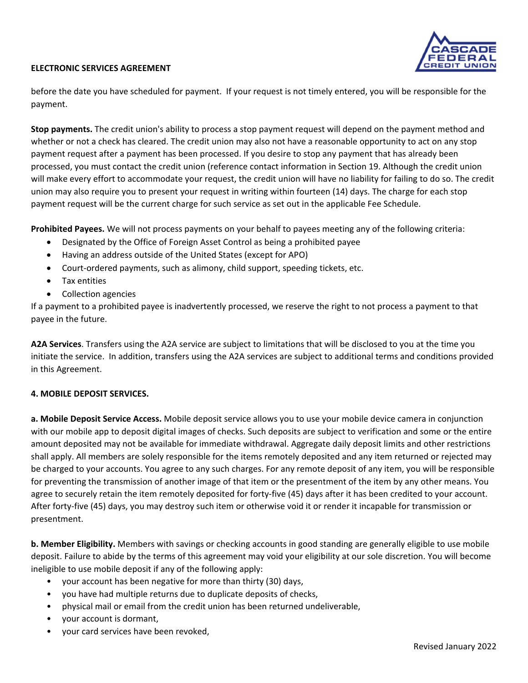

before the date you have scheduled for payment. If your request is not timely entered, you will be responsible for the payment.

**Stop payments.** The credit union's ability to process a stop payment request will depend on the payment method and whether or not a check has cleared. The credit union may also not have a reasonable opportunity to act on any stop payment request after a payment has been processed. If you desire to stop any payment that has already been processed, you must contact the credit union (reference contact information in Section 19. Although the credit union will make every effort to accommodate your request, the credit union will have no liability for failing to do so. The credit union may also require you to present your request in writing within fourteen (14) days. The charge for each stop payment request will be the current charge for such service as set out in the applicable Fee Schedule.

**Prohibited Payees.** We will not process payments on your behalf to payees meeting any of the following criteria:

- Designated by the Office of Foreign Asset Control as being a prohibited payee
- Having an address outside of the United States (except for APO)
- Court-ordered payments, such as alimony, child support, speeding tickets, etc.
- Tax entities
- Collection agencies

If a payment to a prohibited payee is inadvertently processed, we reserve the right to not process a payment to that payee in the future.

**A2A Services**. Transfers using the A2A service are subject to limitations that will be disclosed to you at the time you initiate the service. In addition, transfers using the A2A services are subject to additional terms and conditions provided in this Agreement.

# **4. MOBILE DEPOSIT SERVICES.**

**a. Mobile Deposit Service Access.** Mobile deposit service allows you to use your mobile device camera in conjunction with our mobile app to deposit digital images of checks. Such deposits are subject to verification and some or the entire amount deposited may not be available for immediate withdrawal. Aggregate daily deposit limits and other restrictions shall apply. All members are solely responsible for the items remotely deposited and any item returned or rejected may be charged to your accounts. You agree to any such charges. For any remote deposit of any item, you will be responsible for preventing the transmission of another image of that item or the presentment of the item by any other means. You agree to securely retain the item remotely deposited for forty-five (45) days after it has been credited to your account. After forty‐five (45) days, you may destroy such item or otherwise void it or render it incapable for transmission or presentment.

**b. Member Eligibility.** Members with savings or checking accounts in good standing are generally eligible to use mobile deposit. Failure to abide by the terms of this agreement may void your eligibility at our sole discretion. You will become ineligible to use mobile deposit if any of the following apply:

- your account has been negative for more than thirty (30) days,
- you have had multiple returns due to duplicate deposits of checks,
- physical mail or email from the credit union has been returned undeliverable,
- your account is dormant,
- your card services have been revoked,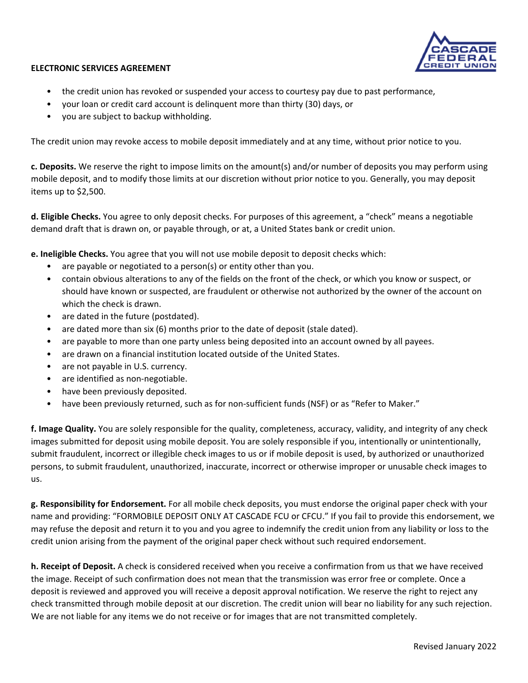

- the credit union has revoked or suspended your access to courtesy pay due to past performance,
- your loan or credit card account is delinquent more than thirty (30) days, or
- you are subject to backup withholding.

The credit union may revoke access to mobile deposit immediately and at any time, without prior notice to you.

**c. Deposits.** We reserve the right to impose limits on the amount(s) and/or number of deposits you may perform using mobile deposit, and to modify those limits at our discretion without prior notice to you. Generally, you may deposit items up to \$2,500.

**d. Eligible Checks.** You agree to only deposit checks. For purposes of this agreement, a "check" means a negotiable demand draft that is drawn on, or payable through, or at, a United States bank or credit union.

**e. Ineligible Checks.** You agree that you will not use mobile deposit to deposit checks which:

- are payable or negotiated to a person(s) or entity other than you.
- contain obvious alterations to any of the fields on the front of the check, or which you know or suspect, or should have known or suspected, are fraudulent or otherwise not authorized by the owner of the account on which the check is drawn.
- are dated in the future (postdated).
- are dated more than six (6) months prior to the date of deposit (stale dated).
- are payable to more than one party unless being deposited into an account owned by all payees.
- are drawn on a financial institution located outside of the United States.
- are not payable in U.S. currency.
- are identified as non-negotiable.
- have been previously deposited.
- have been previously returned, such as for non-sufficient funds (NSF) or as "Refer to Maker."

**f. Image Quality.** You are solely responsible for the quality, completeness, accuracy, validity, and integrity of any check images submitted for deposit using mobile deposit. You are solely responsible if you, intentionally or unintentionally, submit fraudulent, incorrect or illegible check images to us or if mobile deposit is used, by authorized or unauthorized persons, to submit fraudulent, unauthorized, inaccurate, incorrect or otherwise improper or unusable check images to us.

**g. Responsibility for Endorsement.** For all mobile check deposits, you must endorse the original paper check with your name and providing: "FORMOBILE DEPOSIT ONLY AT CASCADE FCU or CFCU." If you fail to provide this endorsement, we may refuse the deposit and return it to you and you agree to indemnify the credit union from any liability or loss to the credit union arising from the payment of the original paper check without such required endorsement.

**h. Receipt of Deposit.** A check is considered received when you receive a confirmation from us that we have received the image. Receipt of such confirmation does not mean that the transmission was error free or complete. Once a deposit is reviewed and approved you will receive a deposit approval notification. We reserve the right to reject any check transmitted through mobile deposit at our discretion. The credit union will bear no liability for any such rejection. We are not liable for any items we do not receive or for images that are not transmitted completely.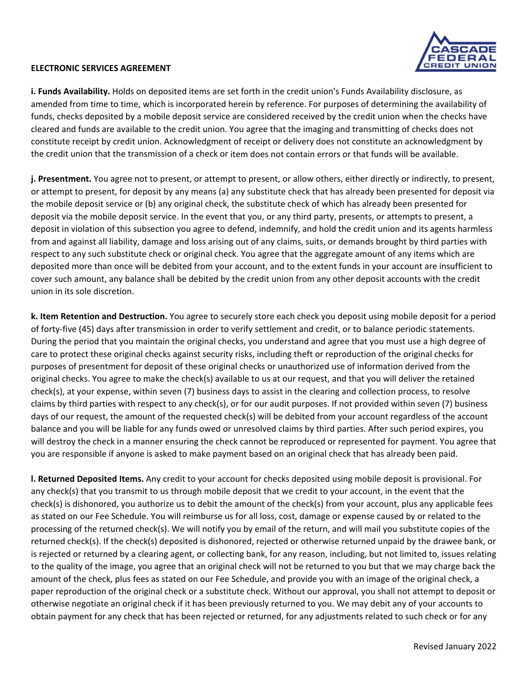

**i. Funds Availability.** Holds on deposited items are set forth in the credit union's Funds Availability disclosure, as amended from time to time, which is incorporated herein by reference. For purposes of determining the availability of funds, checks deposited by a mobile deposit service are considered received by the credit union when the checks have cleared and funds are available to the credit union. You agree that the imaging and transmitting of checks does not constitute receipt by credit union. Acknowledgment of receipt or delivery does not constitute an acknowledgment by the credit union that the transmission of a check or item does not contain errors or that funds will be available.

**j. Presentment.** You agree not to present, or attempt to present, or allow others, either directly or indirectly, to present, or attempt to present, for deposit by any means (a) any substitute check that has already been presented for deposit via the mobile deposit service or (b) any original check, the substitute check of which has already been presented for deposit via the mobile deposit service. In the event that you, or any third party, presents, or attempts to present, a deposit in violation of this subsection you agree to defend, indemnify, and hold the credit union and its agents harmless from and against all liability, damage and loss arising out of any claims, suits, or demands brought by third parties with respect to any such substitute check or original check. You agree that the aggregate amount of any items which are deposited more than once will be debited from your account, and to the extent funds in your account are insufficient to cover such amount, any balance shall be debited by the credit union from any other deposit accounts with the credit union in its sole discretion.

**k. Item Retention and Destruction.** You agree to securely store each check you deposit using mobile deposit for a period of forty‐five (45) days after transmission in order to verify settlement and credit, or to balance periodic statements. During the period that you maintain the original checks, you understand and agree that you must use a high degree of care to protect these original checks against security risks, including theft or reproduction of the original checks for purposes of presentment for deposit of these original checks or unauthorized use of information derived from the original checks. You agree to make the check(s) available to us at our request, and that you will deliver the retained check(s), at your expense, within seven (7) business days to assist in the clearing and collection process, to resolve claims by third parties with respect to any check(s), or for our audit purposes. If not provided within seven (7) business days of our request, the amount of the requested check(s) will be debited from your account regardless of the account balance and you will be liable for any funds owed or unresolved claims by third parties. After such period expires, you will destroy the check in a manner ensuring the check cannot be reproduced or represented for payment. You agree that you are responsible if anyone is asked to make payment based on an original check that has already been paid.

**l. Returned Deposited Items.** Any credit to your account for checks deposited using mobile deposit is provisional. For any check(s) that you transmit to us through mobile deposit that we credit to your account, in the event that the check(s) is dishonored, you authorize us to debit the amount of the check(s) from your account, plus any applicable fees as stated on our Fee Schedule. You will reimburse us for all loss, cost, damage or expense caused by or related to the processing of the returned check(s). We will notify you by email of the return, and will mail you substitute copies of the returned check(s). If the check(s) deposited is dishonored, rejected or otherwise returned unpaid by the drawee bank, or is rejected or returned by a clearing agent, or collecting bank, for any reason, including, but not limited to, issues relating to the quality of the image, you agree that an original check will not be returned to you but that we may charge back the amount of the check, plus fees as stated on our Fee Schedule, and provide you with an image of the original check, a paper reproduction of the original check or a substitute check. Without our approval, you shall not attempt to deposit or otherwise negotiate an original check if it has been previously returned to you. We may debit any of your accounts to obtain payment for any check that has been rejected or returned, for any adjustments related to such check or for any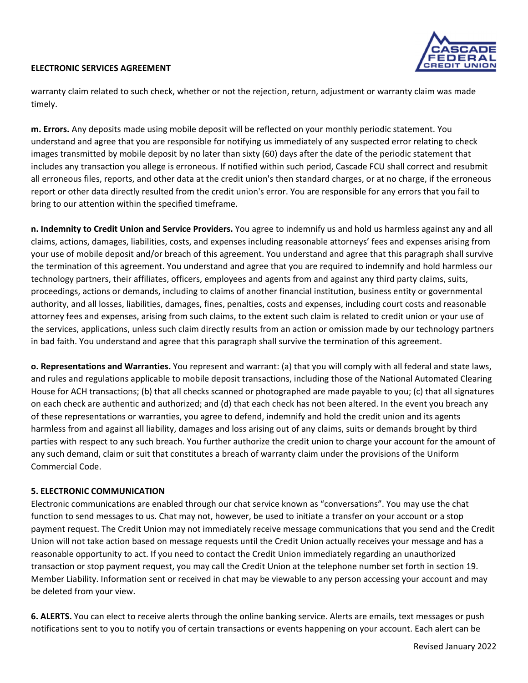

warranty claim related to such check, whether or not the rejection, return, adjustment or warranty claim was made timely.

**m. Errors.** Any deposits made using mobile deposit will be reflected on your monthly periodic statement. You understand and agree that you are responsible for notifying us immediately of any suspected error relating to check images transmitted by mobile deposit by no later than sixty (60) days after the date of the periodic statement that includes any transaction you allege is erroneous. If notified within such period, Cascade FCU shall correct and resubmit all erroneous files, reports, and other data at the credit union's then standard charges, or at no charge, if the erroneous report or other data directly resulted from the credit union's error. You are responsible for any errors that you fail to bring to our attention within the specified timeframe.

**n. Indemnity to Credit Union and Service Providers.** You agree to indemnify us and hold us harmless against any and all claims, actions, damages, liabilities, costs, and expenses including reasonable attorneys' fees and expenses arising from your use of mobile deposit and/or breach of this agreement. You understand and agree that this paragraph shall survive the termination of this agreement. You understand and agree that you are required to indemnify and hold harmless our technology partners, their affiliates, officers, employees and agents from and against any third party claims, suits, proceedings, actions or demands, including to claims of another financial institution, business entity or governmental authority, and all losses, liabilities, damages, fines, penalties, costs and expenses, including court costs and reasonable attorney fees and expenses, arising from such claims, to the extent such claim is related to credit union or your use of the services, applications, unless such claim directly results from an action or omission made by our technology partners in bad faith. You understand and agree that this paragraph shall survive the termination of this agreement.

**o. Representations and Warranties.** You represent and warrant: (a) that you will comply with all federal and state laws, and rules and regulations applicable to mobile deposit transactions, including those of the National Automated Clearing House for ACH transactions; (b) that all checks scanned or photographed are made payable to you; (c) that all signatures on each check are authentic and authorized; and (d) that each check has not been altered. In the event you breach any of these representations or warranties, you agree to defend, indemnify and hold the credit union and its agents harmless from and against all liability, damages and loss arising out of any claims, suits or demands brought by third parties with respect to any such breach. You further authorize the credit union to charge your account for the amount of any such demand, claim or suit that constitutes a breach of warranty claim under the provisions of the Uniform Commercial Code.

#### **5. ELECTRONIC COMMUNICATION**

Electronic communications are enabled through our chat service known as "conversations". You may use the chat function to send messages to us. Chat may not, however, be used to initiate a transfer on your account or a stop payment request. The Credit Union may not immediately receive message communications that you send and the Credit Union will not take action based on message requests until the Credit Union actually receives your message and has a reasonable opportunity to act. If you need to contact the Credit Union immediately regarding an unauthorized transaction or stop payment request, you may call the Credit Union at the telephone number set forth in section 19. Member Liability. Information sent or received in chat may be viewable to any person accessing your account and may be deleted from your view.

**6. ALERTS.** You can elect to receive alerts through the online banking service. Alerts are emails, text messages or push notifications sent to you to notify you of certain transactions or events happening on your account. Each alert can be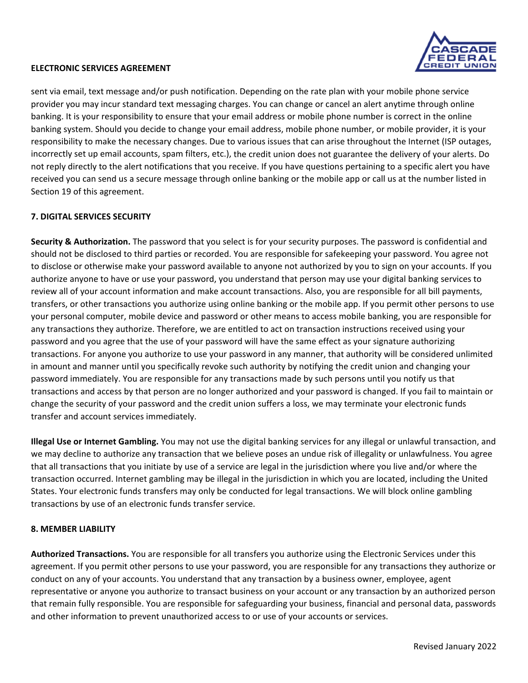sent via email, text message and/or push notification. Depending on the rate plan with your mobile phone service provider you may incur standard text messaging charges. You can change or cancel an alert anytime through online banking. It is your responsibility to ensure that your email address or mobile phone number is correct in the online banking system. Should you decide to change your email address, mobile phone number, or mobile provider, it is your responsibility to make the necessary changes. Due to various issues that can arise throughout the Internet (ISP outages, incorrectly set up email accounts, spam filters, etc.), the credit union does not guarantee the delivery of your alerts. Do not reply directly to the alert notifications that you receive. If you have questions pertaining to a specific alert you have received you can send us a secure message through online banking or the mobile app or call us at the number listed in Section 19 of this agreement.

# **7. DIGITAL SERVICES SECURITY**

**Security & Authorization.** The password that you select is for your security purposes. The password is confidential and should not be disclosed to third parties or recorded. You are responsible for safekeeping your password. You agree not to disclose or otherwise make your password available to anyone not authorized by you to sign on your accounts. If you authorize anyone to have or use your password, you understand that person may use your digital banking services to review all of your account information and make account transactions. Also, you are responsible for all bill payments, transfers, or other transactions you authorize using online banking or the mobile app. If you permit other persons to use your personal computer, mobile device and password or other means to access mobile banking, you are responsible for any transactions they authorize. Therefore, we are entitled to act on transaction instructions received using your password and you agree that the use of your password will have the same effect as your signature authorizing transactions. For anyone you authorize to use your password in any manner, that authority will be considered unlimited in amount and manner until you specifically revoke such authority by notifying the credit union and changing your password immediately. You are responsible for any transactions made by such persons until you notify us that transactions and access by that person are no longer authorized and your password is changed. If you fail to maintain or change the security of your password and the credit union suffers a loss, we may terminate your electronic funds transfer and account services immediately.

**Illegal Use or Internet Gambling.** You may not use the digital banking services for any illegal or unlawful transaction, and we may decline to authorize any transaction that we believe poses an undue risk of illegality or unlawfulness. You agree that all transactions that you initiate by use of a service are legal in the jurisdiction where you live and/or where the transaction occurred. Internet gambling may be illegal in the jurisdiction in which you are located, including the United States. Your electronic funds transfers may only be conducted for legal transactions. We will block online gambling transactions by use of an electronic funds transfer service.

#### **8. MEMBER LIABILITY**

**Authorized Transactions.** You are responsible for all transfers you authorize using the Electronic Services under this agreement. If you permit other persons to use your password, you are responsible for any transactions they authorize or conduct on any of your accounts. You understand that any transaction by a business owner, employee, agent representative or anyone you authorize to transact business on your account or any transaction by an authorized person that remain fully responsible. You are responsible for safeguarding your business, financial and personal data, passwords and other information to prevent unauthorized access to or use of your accounts or services.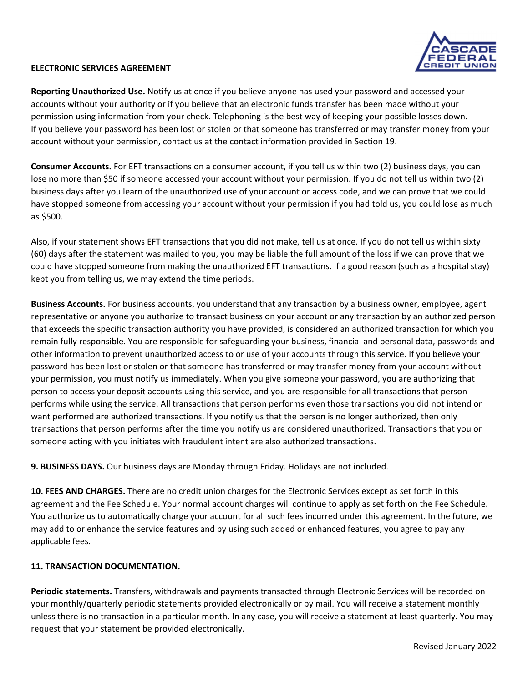

**Reporting Unauthorized Use.** Notify us at once if you believe anyone has used your password and accessed your accounts without your authority or if you believe that an electronic funds transfer has been made without your permission using information from your check. Telephoning is the best way of keeping your possible losses down. If you believe your password has been lost or stolen or that someone has transferred or may transfer money from your account without your permission, contact us at the contact information provided in Section 19.

**Consumer Accounts.** For EFT transactions on a consumer account, if you tell us within two (2) business days, you can lose no more than \$50 if someone accessed your account without your permission. If you do not tell us within two (2) business days after you learn of the unauthorized use of your account or access code, and we can prove that we could have stopped someone from accessing your account without your permission if you had told us, you could lose as much as \$500.

Also, if your statement shows EFT transactions that you did not make, tell us at once. If you do not tell us within sixty (60) days after the statement was mailed to you, you may be liable the full amount of the loss if we can prove that we could have stopped someone from making the unauthorized EFT transactions. If a good reason (such as a hospital stay) kept you from telling us, we may extend the time periods.

**Business Accounts.** For business accounts, you understand that any transaction by a business owner, employee, agent representative or anyone you authorize to transact business on your account or any transaction by an authorized person that exceeds the specific transaction authority you have provided, is considered an authorized transaction for which you remain fully responsible. You are responsible for safeguarding your business, financial and personal data, passwords and other information to prevent unauthorized access to or use of your accounts through this service. If you believe your password has been lost or stolen or that someone has transferred or may transfer money from your account without your permission, you must notify us immediately. When you give someone your password, you are authorizing that person to access your deposit accounts using this service, and you are responsible for all transactions that person performs while using the service. All transactions that person performs even those transactions you did not intend or want performed are authorized transactions. If you notify us that the person is no longer authorized, then only transactions that person performs after the time you notify us are considered unauthorized. Transactions that you or someone acting with you initiates with fraudulent intent are also authorized transactions.

**9. BUSINESS DAYS.** Our business days are Monday through Friday. Holidays are not included.

**10. FEES AND CHARGES.** There are no credit union charges for the Electronic Services except as set forth in this agreement and the Fee Schedule. Your normal account charges will continue to apply as set forth on the Fee Schedule. You authorize us to automatically charge your account for all such fees incurred under this agreement. In the future, we may add to or enhance the service features and by using such added or enhanced features, you agree to pay any applicable fees.

# **11. TRANSACTION DOCUMENTATION.**

**Periodic statements.** Transfers, withdrawals and payments transacted through Electronic Services will be recorded on your monthly/quarterly periodic statements provided electronically or by mail. You will receive a statement monthly unless there is no transaction in a particular month. In any case, you will receive a statement at least quarterly. You may request that your statement be provided electronically.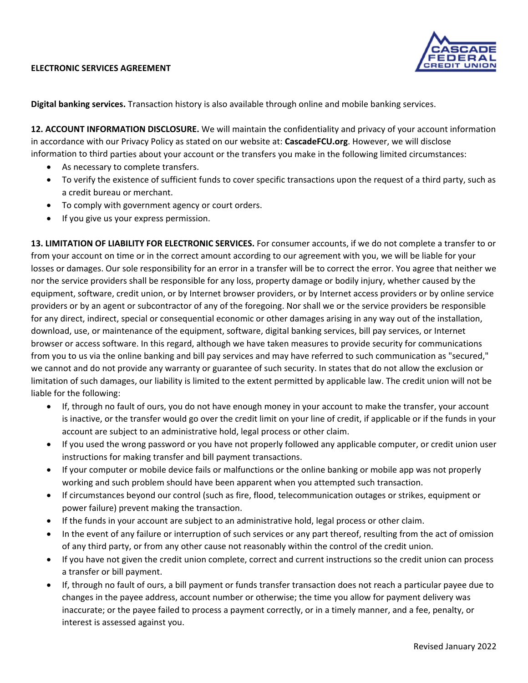

**Digital banking services.** Transaction history is also available through online and mobile banking services.

**12. ACCOUNT INFORMATION DISCLOSURE.** We will maintain the confidentiality and privacy of your account information in accordance with our Privacy Policy as stated on our website at: **CascadeFCU.org**. However, we will disclose information to third parties about your account or the transfers you make in the following limited circumstances:

- As necessary to complete transfers.
- To verify the existence of sufficient funds to cover specific transactions upon the request of a third party, such as a credit bureau or merchant.
- To comply with government agency or court orders.
- If you give us your express permission.

**13. LIMITATION OF LIABILITY FOR ELECTRONIC SERVICES.** For consumer accounts, if we do not complete a transfer to or from your account on time or in the correct amount according to our agreement with you, we will be liable for your losses or damages. Our sole responsibility for an error in a transfer will be to correct the error. You agree that neither we nor the service providers shall be responsible for any loss, property damage or bodily injury, whether caused by the equipment, software, credit union, or by Internet browser providers, or by Internet access providers or by online service providers or by an agent or subcontractor of any of the foregoing. Nor shall we or the service providers be responsible for any direct, indirect, special or consequential economic or other damages arising in any way out of the installation, download, use, or maintenance of the equipment, software, digital banking services, bill pay services, or Internet browser or access software. In this regard, although we have taken measures to provide security for communications from you to us via the online banking and bill pay services and may have referred to such communication as "secured," we cannot and do not provide any warranty or guarantee of such security. In states that do not allow the exclusion or limitation of such damages, our liability is limited to the extent permitted by applicable law. The credit union will not be liable for the following:

- If, through no fault of ours, you do not have enough money in your account to make the transfer, your account is inactive, or the transfer would go over the credit limit on your line of credit, if applicable or if the funds in your account are subject to an administrative hold, legal process or other claim.
- If you used the wrong password or you have not properly followed any applicable computer, or credit union user instructions for making transfer and bill payment transactions.
- If your computer or mobile device fails or malfunctions or the online banking or mobile app was not properly working and such problem should have been apparent when you attempted such transaction.
- If circumstances beyond our control (such as fire, flood, telecommunication outages or strikes, equipment or power failure) prevent making the transaction.
- If the funds in your account are subject to an administrative hold, legal process or other claim.
- In the event of any failure or interruption of such services or any part thereof, resulting from the act of omission of any third party, or from any other cause not reasonably within the control of the credit union.
- If you have not given the credit union complete, correct and current instructions so the credit union can process a transfer or bill payment.
- If, through no fault of ours, a bill payment or funds transfer transaction does not reach a particular payee due to changes in the payee address, account number or otherwise; the time you allow for payment delivery was inaccurate; or the payee failed to process a payment correctly, or in a timely manner, and a fee, penalty, or interest is assessed against you.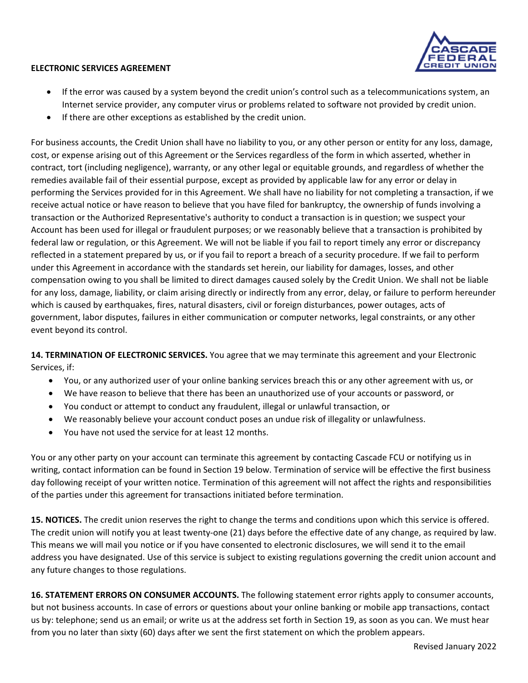

- If the error was caused by a system beyond the credit union's control such as a telecommunications system, an Internet service provider, any computer virus or problems related to software not provided by credit union.
- If there are other exceptions as established by the credit union.

For business accounts, the Credit Union shall have no liability to you, or any other person or entity for any loss, damage, cost, or expense arising out of this Agreement or the Services regardless of the form in which asserted, whether in contract, tort (including negligence), warranty, or any other legal or equitable grounds, and regardless of whether the remedies available fail of their essential purpose, except as provided by applicable law for any error or delay in performing the Services provided for in this Agreement. We shall have no liability for not completing a transaction, if we receive actual notice or have reason to believe that you have filed for bankruptcy, the ownership of funds involving a transaction or the Authorized Representative's authority to conduct a transaction is in question; we suspect your Account has been used for illegal or fraudulent purposes; or we reasonably believe that a transaction is prohibited by federal law or regulation, or this Agreement. We will not be liable if you fail to report timely any error or discrepancy reflected in a statement prepared by us, or if you fail to report a breach of a security procedure. If we fail to perform under this Agreement in accordance with the standards set herein, our liability for damages, losses, and other compensation owing to you shall be limited to direct damages caused solely by the Credit Union. We shall not be liable for any loss, damage, liability, or claim arising directly or indirectly from any error, delay, or failure to perform hereunder which is caused by earthquakes, fires, natural disasters, civil or foreign disturbances, power outages, acts of government, labor disputes, failures in either communication or computer networks, legal constraints, or any other event beyond its control.

**14. TERMINATION OF ELECTRONIC SERVICES.** You agree that we may terminate this agreement and your Electronic Services, if:

- You, or any authorized user of your online banking services breach this or any other agreement with us, or
- We have reason to believe that there has been an unauthorized use of your accounts or password, or
- You conduct or attempt to conduct any fraudulent, illegal or unlawful transaction, or
- We reasonably believe your account conduct poses an undue risk of illegality or unlawfulness.
- You have not used the service for at least 12 months.

You or any other party on your account can terminate this agreement by contacting Cascade FCU or notifying us in writing, contact information can be found in Section 19 below. Termination of service will be effective the first business day following receipt of your written notice. Termination of this agreement will not affect the rights and responsibilities of the parties under this agreement for transactions initiated before termination.

**15. NOTICES.** The credit union reserves the right to change the terms and conditions upon which this service is offered. The credit union will notify you at least twenty-one (21) days before the effective date of any change, as required by law. This means we will mail you notice or if you have consented to electronic disclosures, we will send it to the email address you have designated. Use of this service is subject to existing regulations governing the credit union account and any future changes to those regulations.

**16. STATEMENT ERRORS ON CONSUMER ACCOUNTS.** The following statement error rights apply to consumer accounts, but not business accounts. In case of errors or questions about your online banking or mobile app transactions, contact us by: telephone; send us an email; or write us at the address set forth in Section 19, as soon as you can. We must hear from you no later than sixty (60) days after we sent the first statement on which the problem appears.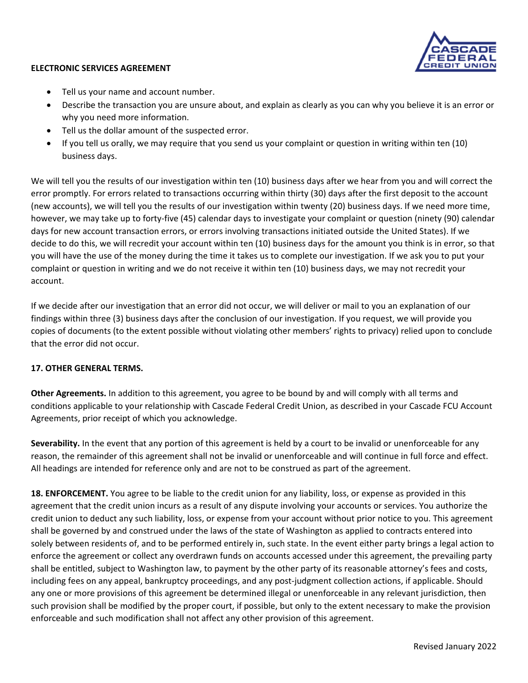

- Tell us your name and account number.
- Describe the transaction you are unsure about, and explain as clearly as you can why you believe it is an error or why you need more information.
- Tell us the dollar amount of the suspected error.
- If you tell us orally, we may require that you send us your complaint or question in writing within ten (10) business days.

We will tell you the results of our investigation within ten (10) business days after we hear from you and will correct the error promptly. For errors related to transactions occurring within thirty (30) days after the first deposit to the account (new accounts), we will tell you the results of our investigation within twenty (20) business days. If we need more time, however, we may take up to forty‐five (45) calendar days to investigate your complaint or question (ninety (90) calendar days for new account transaction errors, or errors involving transactions initiated outside the United States). If we decide to do this, we will recredit your account within ten (10) business days for the amount you think is in error, so that you will have the use of the money during the time it takes us to complete our investigation. If we ask you to put your complaint or question in writing and we do not receive it within ten (10) business days, we may not recredit your account.

If we decide after our investigation that an error did not occur, we will deliver or mail to you an explanation of our findings within three (3) business days after the conclusion of our investigation. If you request, we will provide you copies of documents (to the extent possible without violating other members' rights to privacy) relied upon to conclude that the error did not occur.

# **17. OTHER GENERAL TERMS.**

**Other Agreements.** In addition to this agreement, you agree to be bound by and will comply with all terms and conditions applicable to your relationship with Cascade Federal Credit Union, as described in your Cascade FCU Account Agreements, prior receipt of which you acknowledge.

**Severability.** In the event that any portion of this agreement is held by a court to be invalid or unenforceable for any reason, the remainder of this agreement shall not be invalid or unenforceable and will continue in full force and effect. All headings are intended for reference only and are not to be construed as part of the agreement.

**18. ENFORCEMENT.** You agree to be liable to the credit union for any liability, loss, or expense as provided in this agreement that the credit union incurs as a result of any dispute involving your accounts or services. You authorize the credit union to deduct any such liability, loss, or expense from your account without prior notice to you. This agreement shall be governed by and construed under the laws of the state of Washington as applied to contracts entered into solely between residents of, and to be performed entirely in, such state. In the event either party brings a legal action to enforce the agreement or collect any overdrawn funds on accounts accessed under this agreement, the prevailing party shall be entitled, subject to Washington law, to payment by the other party of its reasonable attorney's fees and costs, including fees on any appeal, bankruptcy proceedings, and any post-judgment collection actions, if applicable. Should any one or more provisions of this agreement be determined illegal or unenforceable in any relevant jurisdiction, then such provision shall be modified by the proper court, if possible, but only to the extent necessary to make the provision enforceable and such modification shall not affect any other provision of this agreement.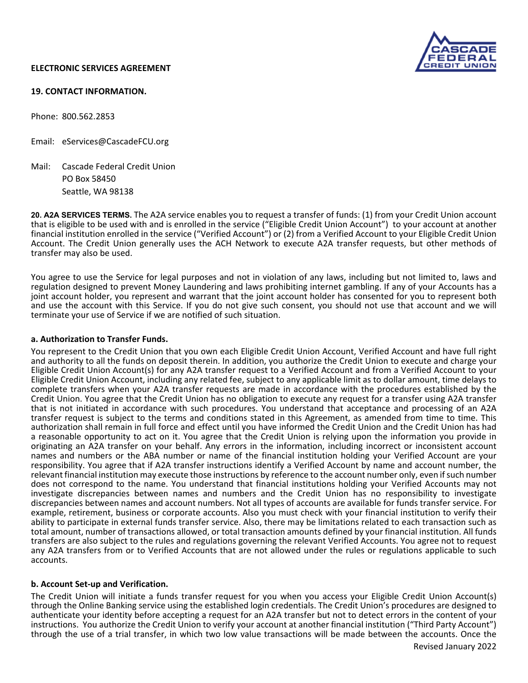

#### **19. CONTACT INFORMATION.**

Phone: 800.562.2853

Email: eServices@CascadeFCU.org

Mail: Cascade Federal Credit Union PO Box 58450 Seattle, WA 98138

**20. A2A SERVICES TERMS.** The A2A service enables you to request a transfer of funds: (1) from your Credit Union account that is eligible to be used with and is enrolled in the service ("Eligible Credit Union Account") to your account at another financial institution enrolled in the service ("Verified Account") or (2) from a Verified Account to your Eligible Credit Union Account. The Credit Union generally uses the ACH Network to execute A2A transfer requests, but other methods of transfer may also be used.

You agree to use the Service for legal purposes and not in violation of any laws, including but not limited to, laws and regulation designed to prevent Money Laundering and laws prohibiting internet gambling. If any of your Accounts has a joint account holder, you represent and warrant that the joint account holder has consented for you to represent both and use the account with this Service. If you do not give such consent, you should not use that account and we will terminate your use of Service if we are notified of such situation.

#### **a. Authorization to Transfer Funds.**

You represent to the Credit Union that you own each Eligible Credit Union Account, Verified Account and have full right and authority to all the funds on deposit therein. In addition, you authorize the Credit Union to execute and charge your Eligible Credit Union Account(s) for any A2A transfer request to a Verified Account and from a Verified Account to your Eligible Credit Union Account, including any related fee, subject to any applicable limit as to dollar amount, time delays to complete transfers when your A2A transfer requests are made in accordance with the procedures established by the Credit Union. You agree that the Credit Union has no obligation to execute any request for a transfer using A2A transfer that is not initiated in accordance with such procedures. You understand that acceptance and processing of an A2A transfer request is subject to the terms and conditions stated in this Agreement, as amended from time to time. This authorization shall remain in full force and effect until you have informed the Credit Union and the Credit Union has had a reasonable opportunity to act on it. You agree that the Credit Union is relying upon the information you provide in originating an A2A transfer on your behalf. Any errors in the information, including incorrect or inconsistent account names and numbers or the ABA number or name of the financial institution holding your Verified Account are your responsibility. You agree that if A2A transfer instructions identify a Verified Account by name and account number, the relevant financial institution may execute those instructions by reference to the account number only, even if such number does not correspond to the name. You understand that financial institutions holding your Verified Accounts may not investigate discrepancies between names and numbers and the Credit Union has no responsibility to investigate discrepancies between names and account numbers. Not all types of accounts are available for funds transfer service. For example, retirement, business or corporate accounts. Also you must check with your financial institution to verify their ability to participate in external funds transfer service. Also, there may be limitations related to each transaction such as total amount, number of transactions allowed, or total transaction amounts defined by your financial institution. All funds transfers are also subject to the rules and regulations governing the relevant Verified Accounts. You agree not to request any A2A transfers from or to Verified Accounts that are not allowed under the rules or regulations applicable to such accounts.

#### **b. Account Set‐up and Verification.**

The Credit Union will initiate a funds transfer request for you when you access your Eligible Credit Union Account(s) through the Online Banking service using the established login credentials. The Credit Union's procedures are designed to authenticate your identity before accepting a request for an A2A transfer but not to detect errors in the content of your instructions. You authorize the Credit Union to verify your account at another financial institution ("Third Party Account") through the use of a trial transfer, in which two low value transactions will be made between the accounts. Once the